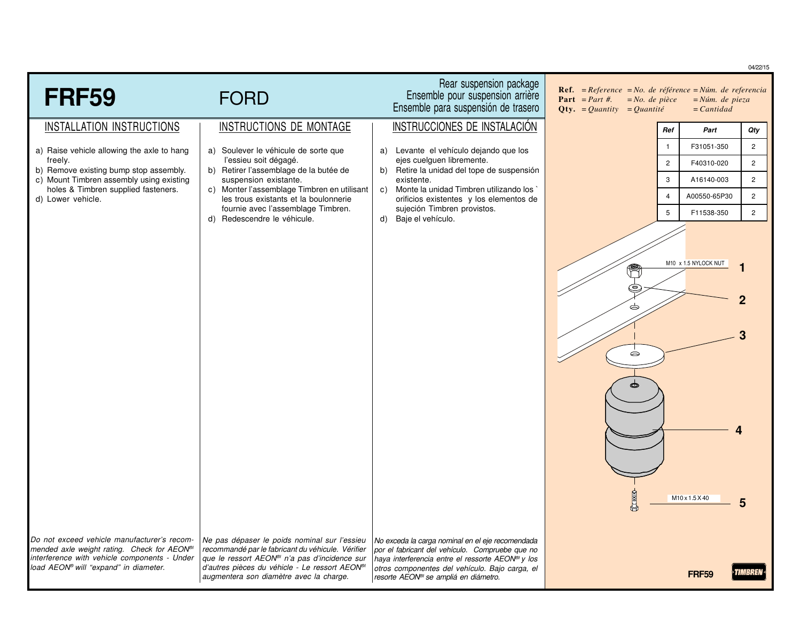|                                                                                                                                                                                                 |                                                                                                                                                                                                                                                           |                                                                                                                                                                                                                                                                           |                                                                                                                                                                             |                                          | 04/22/15              |
|-------------------------------------------------------------------------------------------------------------------------------------------------------------------------------------------------|-----------------------------------------------------------------------------------------------------------------------------------------------------------------------------------------------------------------------------------------------------------|---------------------------------------------------------------------------------------------------------------------------------------------------------------------------------------------------------------------------------------------------------------------------|-----------------------------------------------------------------------------------------------------------------------------------------------------------------------------|------------------------------------------|-----------------------|
| <b>FRF59</b>                                                                                                                                                                                    | <b>FORD</b>                                                                                                                                                                                                                                               | Rear suspension package<br>Ensemble pour suspension arrière<br>Ensemble para suspensión de trasero                                                                                                                                                                        | <b>Ref.</b> = $Reference = No.$ de référence = $Núm.$ de referencia<br><b>Part</b> = <i>Part #</i> .<br>$= No.$ de pièce<br><b>Qty.</b> = <i>Quantity</i> = <i>Quantité</i> | $=N$ úm. de pieza<br>$=$ <i>Cantidad</i> |                       |
| INSTALLATION INSTRUCTIONS                                                                                                                                                                       | INSTRUCTIONS DE MONTAGE                                                                                                                                                                                                                                   | INSTRUCCIONES DE INSTALACIÓN                                                                                                                                                                                                                                              | Ref                                                                                                                                                                         | Part                                     | Qty                   |
| a) Raise vehicle allowing the axle to hang                                                                                                                                                      | a) Soulever le véhicule de sorte que                                                                                                                                                                                                                      | a) Levante el vehículo dejando que los                                                                                                                                                                                                                                    | $\mathbf{1}$                                                                                                                                                                | F31051-350                               | $\overline{2}$        |
| freely.<br>b) Remove existing bump stop assembly.                                                                                                                                               | l'essieu soit dégagé.<br>b) Retirer l'assemblage de la butée de                                                                                                                                                                                           | ejes cuelguen libremente.<br>b) Retire la unidad del tope de suspensión                                                                                                                                                                                                   | $\overline{c}$                                                                                                                                                              | F40310-020                               | $\mathbf{2}^{\prime}$ |
| c) Mount Timbren assembly using existing<br>holes & Timbren supplied fasteners.                                                                                                                 | suspension existante.<br>c) Monter l'assemblage Timbren en utilisant                                                                                                                                                                                      | existente.<br>c) Monte la unidad Timbren utilizando los                                                                                                                                                                                                                   | 3                                                                                                                                                                           | A16140-003                               | $\overline{2}$        |
| d) Lower vehicle.                                                                                                                                                                               | les trous existants et la boulonnerie                                                                                                                                                                                                                     | orificios existentes y los elementos de                                                                                                                                                                                                                                   | $\overline{4}$                                                                                                                                                              | A00550-65P30                             | $\overline{2}$        |
|                                                                                                                                                                                                 | fournie avec l'assemblage Timbren.<br>d) Redescendre le véhicule.                                                                                                                                                                                         | sujeción Timbren provistos.<br>d) Baje el vehículo.                                                                                                                                                                                                                       | 5                                                                                                                                                                           | F11538-350                               | $\overline{2}$        |
|                                                                                                                                                                                                 |                                                                                                                                                                                                                                                           |                                                                                                                                                                                                                                                                           | $\bullet$                                                                                                                                                                   | M10 x 1.5 NYLOCK NUT                     |                       |
|                                                                                                                                                                                                 |                                                                                                                                                                                                                                                           |                                                                                                                                                                                                                                                                           | $Q$ ( $\frac{1}{2}$                                                                                                                                                         | M10 x 1.5 X 40                           |                       |
| Do not exceed vehicle manufacturer's recom-<br>mended axle weight rating. Check for AEON <sup>®/</sup><br>interference with vehicle components - Under<br>load AEON® will "expand" in diameter. | Ne pas dépaser le poids nominal sur l'essieu<br>recommandé par le fabricant du véhicule. Vérifier<br>que le ressort AEON <sup>®</sup> n'a pas d'incidence sur<br>d'autres pièces du véhicle - Le ressort AEON®<br>augmentera son diamètre avec la charge. | No exceda la carga nominal en el eje recomendada<br>por el fabricant del vehículo. Compruebe que no<br>haya interferencia entre el ressorte AEON <sup>®</sup> y los<br>otros componentes del vehículo. Bajo carga, el<br>resorte AEON <sup>®</sup> se ampliá en diámetro. |                                                                                                                                                                             | <b>FRF59</b>                             |                       |